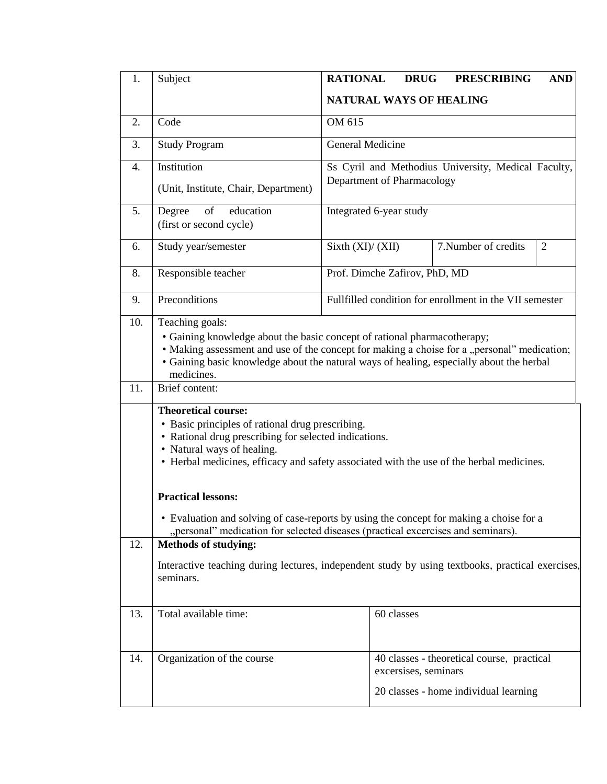| 1.               | Subject                                                                                                                                                                                                                                                                                              | <b>RATIONAL</b><br><b>DRUG</b><br><b>PRESCRIBING</b><br><b>AND</b>                                                                                                          |  |  |  |  |
|------------------|------------------------------------------------------------------------------------------------------------------------------------------------------------------------------------------------------------------------------------------------------------------------------------------------------|-----------------------------------------------------------------------------------------------------------------------------------------------------------------------------|--|--|--|--|
|                  |                                                                                                                                                                                                                                                                                                      | <b>NATURAL WAYS OF HEALING</b>                                                                                                                                              |  |  |  |  |
| 2.               | Code                                                                                                                                                                                                                                                                                                 | OM 615                                                                                                                                                                      |  |  |  |  |
| 3.               | <b>Study Program</b>                                                                                                                                                                                                                                                                                 | General Medicine                                                                                                                                                            |  |  |  |  |
| $\overline{4}$ . | Institution                                                                                                                                                                                                                                                                                          | Ss Cyril and Methodius University, Medical Faculty,                                                                                                                         |  |  |  |  |
|                  | (Unit, Institute, Chair, Department)                                                                                                                                                                                                                                                                 | Department of Pharmacology                                                                                                                                                  |  |  |  |  |
| 5.               | education<br>of<br>Degree<br>(first or second cycle)                                                                                                                                                                                                                                                 | Integrated 6-year study                                                                                                                                                     |  |  |  |  |
| 6.               | Study year/semester                                                                                                                                                                                                                                                                                  | 7. Number of credits<br>$\overline{2}$<br>Sixth $(XI)/(XII)$                                                                                                                |  |  |  |  |
| 8.               | Responsible teacher                                                                                                                                                                                                                                                                                  | Prof. Dimche Zafirov, PhD, MD                                                                                                                                               |  |  |  |  |
| 9.               | Preconditions                                                                                                                                                                                                                                                                                        | Fullfilled condition for enrollment in the VII semester                                                                                                                     |  |  |  |  |
| 10.              | Teaching goals:<br>• Gaining knowledge about the basic concept of rational pharmacotherapy;<br>• Making assessment and use of the concept for making a choise for a "personal" medication;<br>• Gaining basic knowledge about the natural ways of healing, especially about the herbal<br>medicines. |                                                                                                                                                                             |  |  |  |  |
| 11.              | Brief content:                                                                                                                                                                                                                                                                                       |                                                                                                                                                                             |  |  |  |  |
|                  | <b>Theoretical course:</b><br>• Basic principles of rational drug prescribing.<br>• Rational drug prescribing for selected indications.<br>• Natural ways of healing.<br>• Herbal medicines, efficacy and safety associated with the use of the herbal medicines.                                    |                                                                                                                                                                             |  |  |  |  |
|                  | <b>Practical lessons:</b>                                                                                                                                                                                                                                                                            |                                                                                                                                                                             |  |  |  |  |
|                  |                                                                                                                                                                                                                                                                                                      | • Evaluation and solving of case-reports by using the concept for making a choise for a<br>"personal" medication for selected diseases (practical excercises and seminars). |  |  |  |  |
| 12.              | <b>Methods of studying:</b>                                                                                                                                                                                                                                                                          |                                                                                                                                                                             |  |  |  |  |
|                  | Interactive teaching during lectures, independent study by using textbooks, practical exercises,<br>seminars.                                                                                                                                                                                        |                                                                                                                                                                             |  |  |  |  |
| 13.              | Total available time:                                                                                                                                                                                                                                                                                | 60 classes                                                                                                                                                                  |  |  |  |  |
| 14.              | Organization of the course                                                                                                                                                                                                                                                                           | 40 classes - theoretical course, practical<br>excersises, seminars                                                                                                          |  |  |  |  |
|                  |                                                                                                                                                                                                                                                                                                      | 20 classes - home individual learning                                                                                                                                       |  |  |  |  |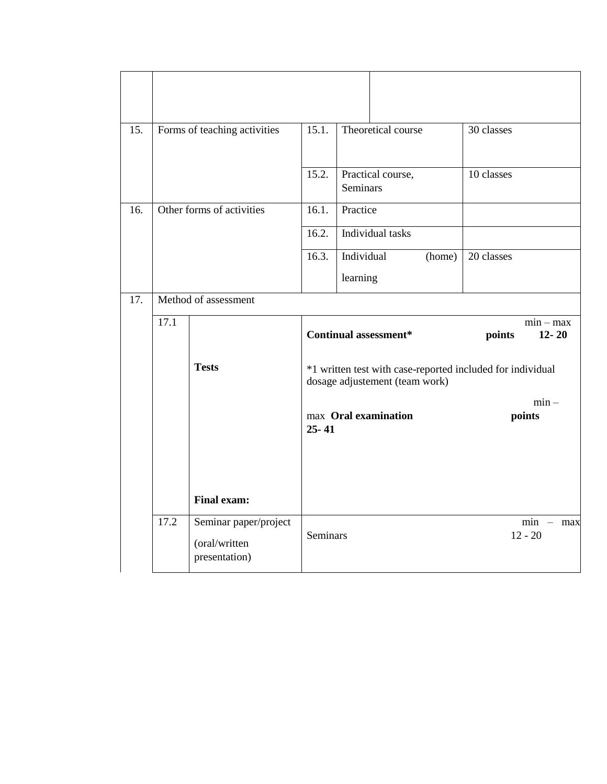| 15. | Forms of teaching activities |                                                         | 15.1.                             | Theoretical course                                                                           | 30 classes                         |  |  |
|-----|------------------------------|---------------------------------------------------------|-----------------------------------|----------------------------------------------------------------------------------------------|------------------------------------|--|--|
|     |                              |                                                         | 15.2.                             | Practical course,<br><b>Seminars</b>                                                         | 10 classes                         |  |  |
| 16. | Other forms of activities    |                                                         | 16.1.                             | Practice                                                                                     |                                    |  |  |
|     |                              |                                                         | 16.2.                             | Individual tasks                                                                             |                                    |  |  |
|     |                              |                                                         | 16.3.                             | Individual<br>(home)                                                                         | 20 classes                         |  |  |
|     |                              |                                                         |                                   | learning                                                                                     |                                    |  |  |
| 17. |                              | Method of assessment                                    |                                   |                                                                                              |                                    |  |  |
|     | 17.1                         |                                                         |                                   | <b>Continual assessment*</b>                                                                 | $min - max$<br>points<br>$12 - 20$ |  |  |
|     |                              | <b>Tests</b>                                            |                                   | *1 written test with case-reported included for individual<br>dosage adjustement (team work) |                                    |  |  |
|     |                              |                                                         | max Oral examination<br>$25 - 41$ |                                                                                              | $min -$<br>points                  |  |  |
|     |                              | <b>Final exam:</b>                                      |                                   |                                                                                              |                                    |  |  |
|     | 17.2                         | Seminar paper/project<br>(oral/written<br>presentation) | <b>Seminars</b>                   |                                                                                              | $min - max$<br>$12 - 20$           |  |  |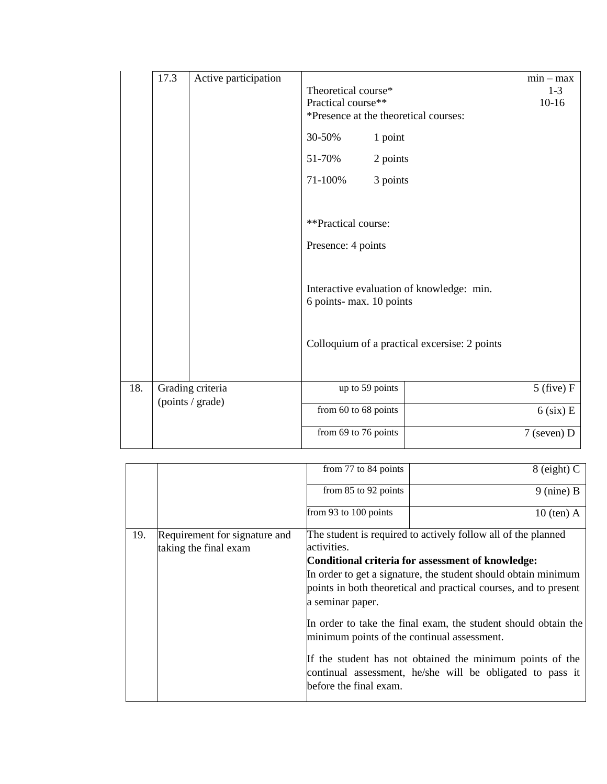|     | 17.3             | Active participation | Theoretical course*<br>Practical course**<br>*Presence at the theoretical courses: | $min - max$<br>$1-3$<br>$10-16$               |               |
|-----|------------------|----------------------|------------------------------------------------------------------------------------|-----------------------------------------------|---------------|
|     |                  |                      | 30-50%                                                                             | 1 point                                       |               |
|     |                  |                      | 51-70%                                                                             | 2 points                                      |               |
|     |                  |                      | 71-100%                                                                            | 3 points                                      |               |
|     |                  |                      |                                                                                    |                                               |               |
|     |                  |                      | **Practical course:                                                                |                                               |               |
|     |                  |                      | Presence: 4 points                                                                 |                                               |               |
|     |                  |                      | 6 points- max. 10 points                                                           | Interactive evaluation of knowledge: min.     |               |
|     |                  |                      |                                                                                    | Colloquium of a practical excersise: 2 points |               |
| 18. |                  | Grading criteria     |                                                                                    | up to 59 points                               | $5$ (five) F  |
|     | (points / grade) |                      | from 60 to 68 points                                                               |                                               | $6$ (six) E   |
|     |                  |                      | from 69 to 76 points                                                               |                                               | $7$ (seven) D |

|     |                                                        | from 77 to 84 points                                                                                          | $8$ (eight) C                                                                                                          |  |  |
|-----|--------------------------------------------------------|---------------------------------------------------------------------------------------------------------------|------------------------------------------------------------------------------------------------------------------------|--|--|
|     |                                                        | from 85 to 92 points                                                                                          | $9$ (nine) B                                                                                                           |  |  |
|     |                                                        | from 93 to 100 points                                                                                         | $10$ (ten) A                                                                                                           |  |  |
| 19. | Requirement for signature and<br>taking the final exam | The student is required to actively follow all of the planned<br>activities.                                  |                                                                                                                        |  |  |
|     |                                                        | Conditional criteria for assessment of knowledge:                                                             |                                                                                                                        |  |  |
|     |                                                        | In order to get a signature, the student should obtain minimum                                                |                                                                                                                        |  |  |
|     |                                                        | points in both theoretical and practical courses, and to present                                              |                                                                                                                        |  |  |
|     |                                                        | a seminar paper.                                                                                              |                                                                                                                        |  |  |
|     |                                                        | In order to take the final exam, the student should obtain the<br>minimum points of the continual assessment. |                                                                                                                        |  |  |
|     |                                                        | before the final exam.                                                                                        | If the student has not obtained the minimum points of the<br>continual assessment, he/she will be obligated to pass it |  |  |
|     |                                                        |                                                                                                               |                                                                                                                        |  |  |